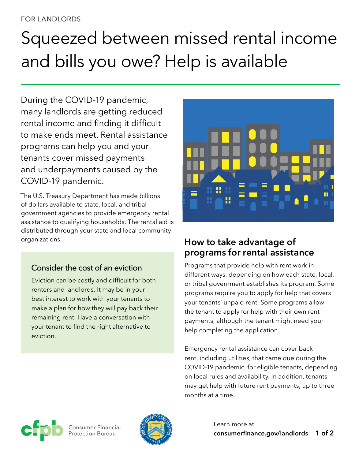#### FOR LANDLORDS

# Squeezed between missed rental income and bills you owe? Help is available

During the COVID-19 pandemic, many landlords are getting reduced rental income and finding it difficult to make ends meet. Rental assistance programs can help you and your tenants cover missed payments and underpayments caused by the COVID-19 pandemic.

The U.S. Treasury Department has made billions of dollars available to state, local, and tribal government agencies to provide emergency rental assistance to qualifying households. The rental aid is distributed through your state and local community organizations.

## Consider the cost of an eviction

Eviction can be costly and difficult for both renters and landlords. It may be in your best interest to work with your tenants to make a plan for how they will pay back their remaining rent. Have a conversation with your tenant to find the right alternative to eviction.



# **How to take advantage of programs for rental assistance**

Programs that provide help with rent work in different ways, depending on how each state, local, or tribal government establishes its program. Some programs require you to apply for help that covers your tenants' unpaid rent. Some programs allow the tenant to apply for help with their own rent payments, although the tenant might need your help completing the application.

Emergency rental assistance can cover back rent, including utilities, that came due during the COVID-19 pandemic, for eligible tenants, depending on local rules and availability. In addition, tenants may get help with future rent payments, up to three months at a time.



Consumer Financial Protection Bureau